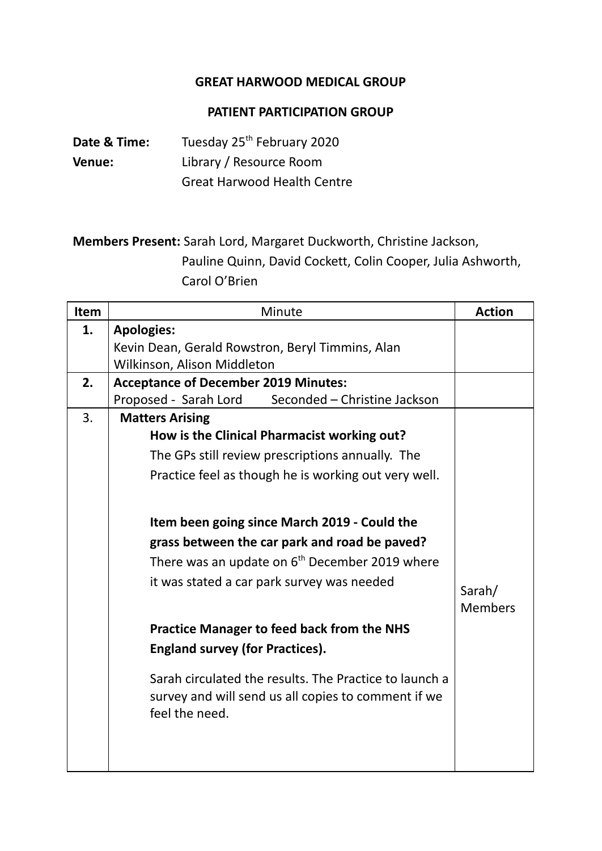## **GREAT HARWOOD MEDICAL GROUP**

## **PATIENT PARTICIPATION GROUP**

**Date & Time:** Tuesday 25 th February 2020 **Venue:** Library / Resource Room Great Harwood Health Centre

**Members Present:** Sarah Lord, Margaret Duckworth, Christine Jackson, Pauline Quinn, David Cockett, Colin Cooper, Julia Ashworth, Carol O'Brien

| Item | Minute                                                                | <b>Action</b>  |
|------|-----------------------------------------------------------------------|----------------|
| 1.   | <b>Apologies:</b>                                                     |                |
|      | Kevin Dean, Gerald Rowstron, Beryl Timmins, Alan                      |                |
|      | Wilkinson, Alison Middleton                                           |                |
| 2.   | <b>Acceptance of December 2019 Minutes:</b>                           |                |
|      | Seconded - Christine Jackson<br>Proposed - Sarah Lord                 |                |
| 3.   | <b>Matters Arising</b>                                                |                |
|      | How is the Clinical Pharmacist working out?                           |                |
|      | The GPs still review prescriptions annually. The                      |                |
|      | Practice feel as though he is working out very well.                  |                |
|      |                                                                       |                |
|      |                                                                       |                |
|      | Item been going since March 2019 - Could the                          |                |
|      | grass between the car park and road be paved?                         |                |
|      | There was an update on $6th$ December 2019 where                      |                |
|      | it was stated a car park survey was needed                            | Sarah/         |
|      |                                                                       | <b>Members</b> |
|      |                                                                       |                |
|      | <b>Practice Manager to feed back from the NHS</b>                     |                |
|      | <b>England survey (for Practices).</b>                                |                |
|      | Sarah circulated the results. The Practice to launch a                |                |
|      | survey and will send us all copies to comment if we<br>feel the need. |                |
|      |                                                                       |                |
|      |                                                                       |                |
|      |                                                                       |                |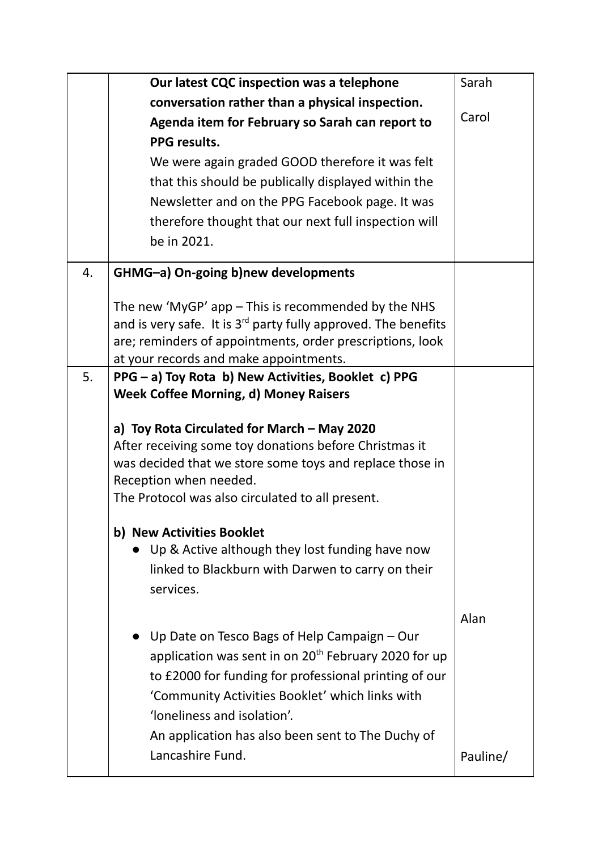|    | Our latest CQC inspection was a telephone                           | Sarah    |
|----|---------------------------------------------------------------------|----------|
|    | conversation rather than a physical inspection.                     |          |
|    | Agenda item for February so Sarah can report to                     | Carol    |
|    | <b>PPG results.</b>                                                 |          |
|    | We were again graded GOOD therefore it was felt                     |          |
|    | that this should be publically displayed within the                 |          |
|    | Newsletter and on the PPG Facebook page. It was                     |          |
|    | therefore thought that our next full inspection will                |          |
|    | be in 2021.                                                         |          |
| 4. | GHMG-a) On-going b)new developments                                 |          |
|    | The new 'MyGP' $app$ – This is recommended by the NHS               |          |
|    | and is very safe. It is $3^{rd}$ party fully approved. The benefits |          |
|    | are; reminders of appointments, order prescriptions, look           |          |
|    | at your records and make appointments.                              |          |
| 5. | PPG - a) Toy Rota b) New Activities, Booklet c) PPG                 |          |
|    | <b>Week Coffee Morning, d) Money Raisers</b>                        |          |
|    | a) Toy Rota Circulated for March - May 2020                         |          |
|    | After receiving some toy donations before Christmas it              |          |
|    | was decided that we store some toys and replace those in            |          |
|    | Reception when needed.                                              |          |
|    | The Protocol was also circulated to all present.                    |          |
|    | b) New Activities Booklet                                           |          |
|    | Up & Active although they lost funding have now                     |          |
|    | linked to Blackburn with Darwen to carry on their                   |          |
|    | services.                                                           |          |
|    |                                                                     | Alan     |
|    | Up Date on Tesco Bags of Help Campaign - Our                        |          |
|    | application was sent in on $20th$ February 2020 for up              |          |
|    | to £2000 for funding for professional printing of our               |          |
|    | 'Community Activities Booklet' which links with                     |          |
|    | 'loneliness and isolation'.                                         |          |
|    | An application has also been sent to The Duchy of                   |          |
|    | Lancashire Fund.                                                    | Pauline/ |
|    |                                                                     |          |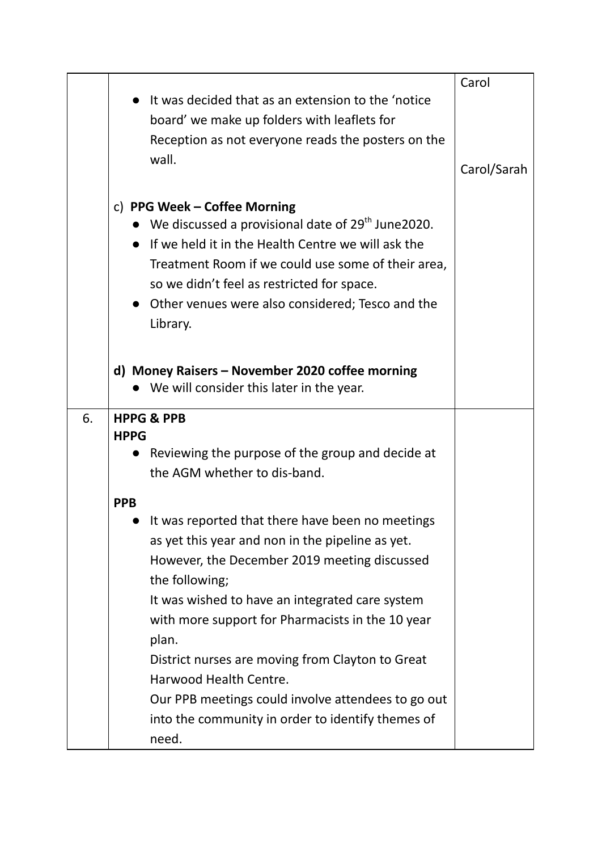|    |                                                                | Carol       |
|----|----------------------------------------------------------------|-------------|
|    | It was decided that as an extension to the 'notice             |             |
|    | board' we make up folders with leaflets for                    |             |
|    | Reception as not everyone reads the posters on the             |             |
|    | wall.                                                          | Carol/Sarah |
|    |                                                                |             |
|    | c) PPG Week – Coffee Morning                                   |             |
|    | We discussed a provisional date of 29 <sup>th</sup> June 2020. |             |
|    | If we held it in the Health Centre we will ask the             |             |
|    | Treatment Room if we could use some of their area,             |             |
|    | so we didn't feel as restricted for space.                     |             |
|    | Other venues were also considered; Tesco and the               |             |
|    | Library.                                                       |             |
|    |                                                                |             |
|    | d) Money Raisers - November 2020 coffee morning                |             |
|    | We will consider this later in the year.                       |             |
|    |                                                                |             |
| 6. | <b>HPPG &amp; PPB</b><br><b>HPPG</b>                           |             |
|    | Reviewing the purpose of the group and decide at               |             |
|    | the AGM whether to dis-band.                                   |             |
|    |                                                                |             |
|    | <b>PPB</b>                                                     |             |
|    | It was reported that there have been no meetings               |             |
|    | as yet this year and non in the pipeline as yet.               |             |
|    | However, the December 2019 meeting discussed                   |             |
|    | the following;                                                 |             |
|    | It was wished to have an integrated care system                |             |
|    | with more support for Pharmacists in the 10 year               |             |
|    | plan.                                                          |             |
|    | District nurses are moving from Clayton to Great               |             |
|    | Harwood Health Centre.                                         |             |
|    | Our PPB meetings could involve attendees to go out             |             |
|    | into the community in order to identify themes of              |             |
|    | need.                                                          |             |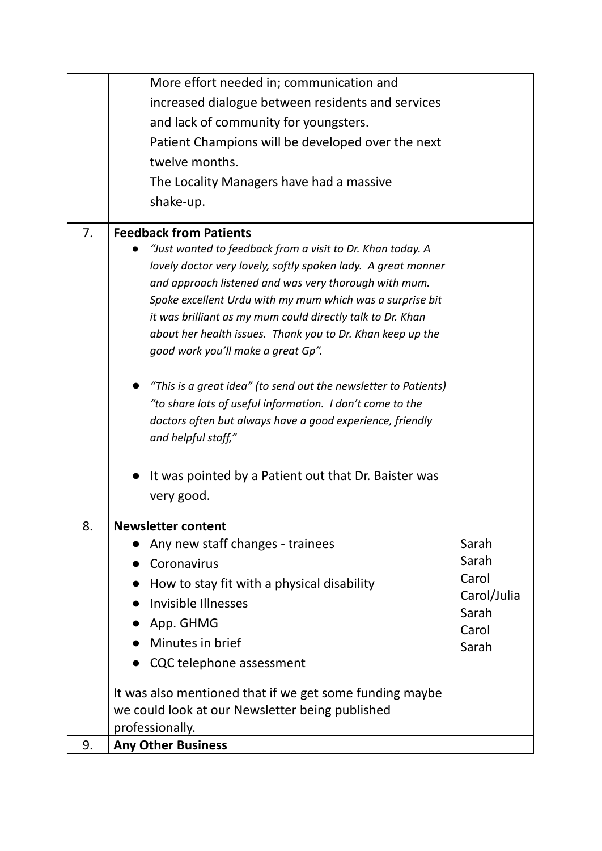|    | More effort needed in; communication and                                                                                    |             |
|----|-----------------------------------------------------------------------------------------------------------------------------|-------------|
|    | increased dialogue between residents and services                                                                           |             |
|    | and lack of community for youngsters.                                                                                       |             |
|    | Patient Champions will be developed over the next                                                                           |             |
|    | twelve months.                                                                                                              |             |
|    | The Locality Managers have had a massive                                                                                    |             |
|    | shake-up.                                                                                                                   |             |
|    |                                                                                                                             |             |
| 7. | <b>Feedback from Patients</b>                                                                                               |             |
|    | "Just wanted to feedback from a visit to Dr. Khan today. A<br>lovely doctor very lovely, softly spoken lady. A great manner |             |
|    | and approach listened and was very thorough with mum.                                                                       |             |
|    | Spoke excellent Urdu with my mum which was a surprise bit                                                                   |             |
|    | it was brilliant as my mum could directly talk to Dr. Khan                                                                  |             |
|    | about her health issues. Thank you to Dr. Khan keep up the                                                                  |             |
|    | good work you'll make a great Gp".                                                                                          |             |
|    |                                                                                                                             |             |
|    | "This is a great idea" (to send out the newsletter to Patients)                                                             |             |
|    | "to share lots of useful information. I don't come to the<br>doctors often but always have a good experience, friendly      |             |
|    | and helpful staff,"                                                                                                         |             |
|    |                                                                                                                             |             |
|    | It was pointed by a Patient out that Dr. Baister was                                                                        |             |
|    | very good.                                                                                                                  |             |
| 8. | <b>Newsletter content</b>                                                                                                   |             |
|    | Any new staff changes - trainees                                                                                            | Sarah       |
|    | Coronavirus                                                                                                                 | Sarah       |
|    | How to stay fit with a physical disability                                                                                  | Carol       |
|    | Invisible Illnesses                                                                                                         | Carol/Julia |
|    | App. GHMG                                                                                                                   | Sarah       |
|    | Minutes in brief                                                                                                            | Carol       |
|    | • CQC telephone assessment                                                                                                  | Sarah       |
|    |                                                                                                                             |             |
|    | It was also mentioned that if we get some funding maybe                                                                     |             |
|    | we could look at our Newsletter being published                                                                             |             |
|    | professionally.                                                                                                             |             |
| 9. | <b>Any Other Business</b>                                                                                                   |             |